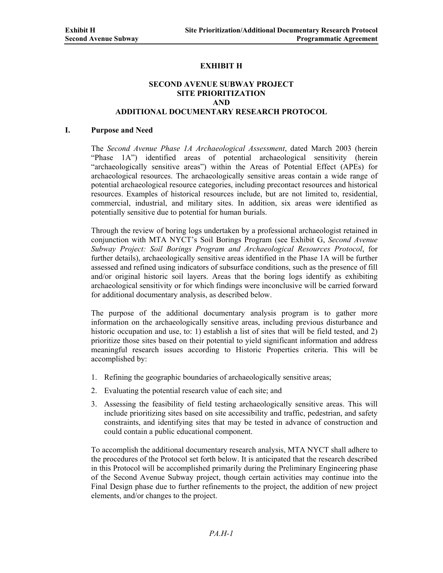# **EXHIBIT H**

## **SECOND AVENUE SUBWAY PROJECT SITE PRIORITIZATION AND ADDITIONAL DOCUMENTARY RESEARCH PROTOCOL**

#### **I. Purpose and Need**

The *Second Avenue Phase 1A Archaeological Assessment*, dated March 2003 (herein "Phase 1A") identified areas of potential archaeological sensitivity (herein "archaeologically sensitive areas") within the Areas of Potential Effect (APEs) for archaeological resources. The archaeologically sensitive areas contain a wide range of potential archaeological resource categories, including precontact resources and historical resources. Examples of historical resources include, but are not limited to, residential, commercial, industrial, and military sites. In addition, six areas were identified as potentially sensitive due to potential for human burials.

Through the review of boring logs undertaken by a professional archaeologist retained in conjunction with MTA NYCT's Soil Borings Program (see Exhibit G, *Second Avenue Subway Project: Soil Borings Program and Archaeological Resources Protocol*, for further details), archaeologically sensitive areas identified in the Phase 1A will be further assessed and refined using indicators of subsurface conditions, such as the presence of fill and/or original historic soil layers. Areas that the boring logs identify as exhibiting archaeological sensitivity or for which findings were inconclusive will be carried forward for additional documentary analysis, as described below.

The purpose of the additional documentary analysis program is to gather more information on the archaeologically sensitive areas, including previous disturbance and historic occupation and use, to: 1) establish a list of sites that will be field tested, and 2) prioritize those sites based on their potential to yield significant information and address meaningful research issues according to Historic Properties criteria. This will be accomplished by:

- 1. Refining the geographic boundaries of archaeologically sensitive areas;
- 2. Evaluating the potential research value of each site; and
- 3. Assessing the feasibility of field testing archaeologically sensitive areas. This will include prioritizing sites based on site accessibility and traffic, pedestrian, and safety constraints, and identifying sites that may be tested in advance of construction and could contain a public educational component.

To accomplish the additional documentary research analysis, MTA NYCT shall adhere to the procedures of the Protocol set forth below. It is anticipated that the research described in this Protocol will be accomplished primarily during the Preliminary Engineering phase of the Second Avenue Subway project, though certain activities may continue into the Final Design phase due to further refinements to the project, the addition of new project elements, and/or changes to the project.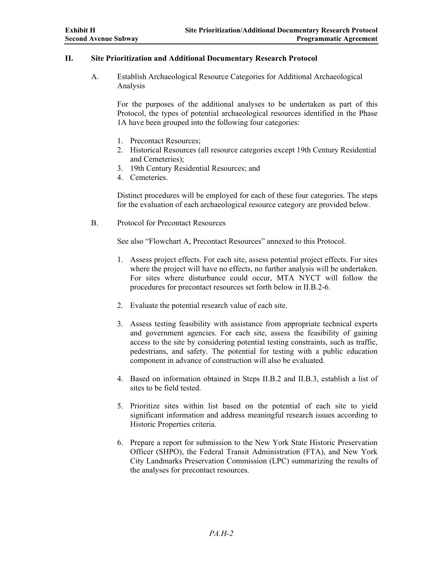## **II. Site Prioritization and Additional Documentary Research Protocol**

A. Establish Archaeological Resource Categories for Additional Archaeological Analysis

For the purposes of the additional analyses to be undertaken as part of this Protocol, the types of potential archaeological resources identified in the Phase 1A have been grouped into the following four categories:

- 1. Precontact Resources;
- 2. Historical Resources (all resource categories except 19th Century Residential and Cemeteries);
- 3. 19th Century Residential Resources; and
- 4. Cemeteries.

Distinct procedures will be employed for each of these four categories. The steps for the evaluation of each archaeological resource category are provided below.

B. Protocol for Precontact Resources

See also "Flowchart A, Precontact Resources" annexed to this Protocol.

- 1. Assess project effects. For each site, assess potential project effects. For sites where the project will have no effects, no further analysis will be undertaken. For sites where disturbance could occur, MTA NYCT will follow the procedures for precontact resources set forth below in II.B.2-6.
- 2. Evaluate the potential research value of each site.
- 3. Assess testing feasibility with assistance from appropriate technical experts and government agencies. For each site, assess the feasibility of gaining access to the site by considering potential testing constraints, such as traffic, pedestrians, and safety. The potential for testing with a public education component in advance of construction will also be evaluated.
- 4. Based on information obtained in Steps II.B.2 and II.B.3, establish a list of sites to be field tested.
- 5. Prioritize sites within list based on the potential of each site to yield significant information and address meaningful research issues according to Historic Properties criteria.
- 6. Prepare a report for submission to the New York State Historic Preservation Officer (SHPO), the Federal Transit Administration (FTA), and New York City Landmarks Preservation Commission (LPC) summarizing the results of the analyses for precontact resources.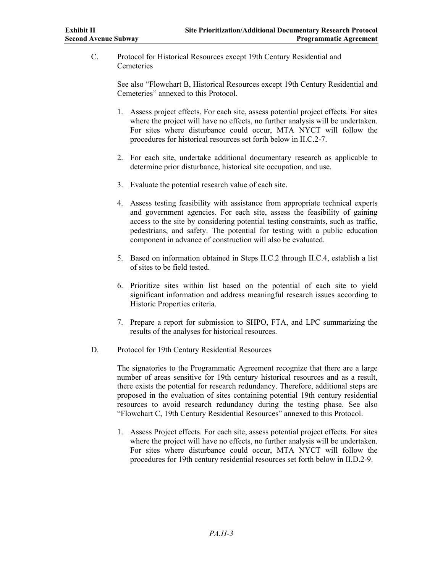C. Protocol for Historical Resources except 19th Century Residential and **Cemeteries** 

> See also "Flowchart B, Historical Resources except 19th Century Residential and Cemeteries" annexed to this Protocol.

- 1. Assess project effects. For each site, assess potential project effects. For sites where the project will have no effects, no further analysis will be undertaken. For sites where disturbance could occur, MTA NYCT will follow the procedures for historical resources set forth below in II.C.2-7.
- 2. For each site, undertake additional documentary research as applicable to determine prior disturbance, historical site occupation, and use.
- 3. Evaluate the potential research value of each site.
- 4. Assess testing feasibility with assistance from appropriate technical experts and government agencies. For each site, assess the feasibility of gaining access to the site by considering potential testing constraints, such as traffic, pedestrians, and safety. The potential for testing with a public education component in advance of construction will also be evaluated.
- 5. Based on information obtained in Steps II.C.2 through II.C.4, establish a list of sites to be field tested.
- 6. Prioritize sites within list based on the potential of each site to yield significant information and address meaningful research issues according to Historic Properties criteria.
- 7. Prepare a report for submission to SHPO, FTA, and LPC summarizing the results of the analyses for historical resources.
- D. Protocol for 19th Century Residential Resources

The signatories to the Programmatic Agreement recognize that there are a large number of areas sensitive for 19th century historical resources and as a result, there exists the potential for research redundancy. Therefore, additional steps are proposed in the evaluation of sites containing potential 19th century residential resources to avoid research redundancy during the testing phase. See also "Flowchart C, 19th Century Residential Resources" annexed to this Protocol.

1. Assess Project effects. For each site, assess potential project effects. For sites where the project will have no effects, no further analysis will be undertaken. For sites where disturbance could occur, MTA NYCT will follow the procedures for 19th century residential resources set forth below in II.D.2-9.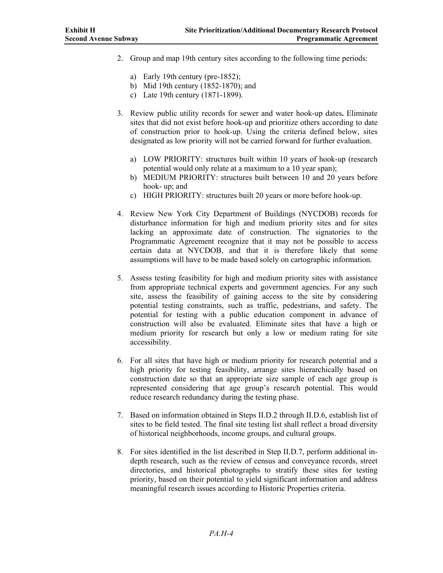- 2. Group and map 19th century sites according to the following time periods:
	- a) Early 19th century (pre-1852);
	- b) Mid 19th century (1852-1870); and
	- c) Late 19th century (1871-1899).
- 3. Review public utility records for sewer and water hook-up dates**.** Eliminate sites that did not exist before hook-up and prioritize others according to date of construction prior to hook-up. Using the criteria defined below, sites designated as low priority will not be carried forward for further evaluation.
	- a) LOW PRIORITY: structures built within 10 years of hook-up (research potential would only relate at a maximum to a 10 year span);
	- b) MEDIUM PRIORITY: structures built between 10 and 20 years before hook- up; and
	- c) HIGH PRIORITY: structures built 20 years or more before hook-up.
- 4. Review New York City Department of Buildings (NYCDOB) records for disturbance information for high and medium priority sites and for sites lacking an approximate date of construction. The signatories to the Programmatic Agreement recognize that it may not be possible to access certain data at NYCDOB, and that it is therefore likely that some assumptions will have to be made based solely on cartographic information.
- 5. Assess testing feasibility for high and medium priority sites with assistance from appropriate technical experts and government agencies. For any such site, assess the feasibility of gaining access to the site by considering potential testing constraints, such as traffic, pedestrians, and safety. The potential for testing with a public education component in advance of construction will also be evaluated. Eliminate sites that have a high or medium priority for research but only a low or medium rating for site accessibility.
- 6. For all sites that have high or medium priority for research potential and a high priority for testing feasibility, arrange sites hierarchically based on construction date so that an appropriate size sample of each age group is represented considering that age group's research potential. This would reduce research redundancy during the testing phase.
- 7. Based on information obtained in Steps II.D.2 through II.D.6, establish list of sites to be field tested. The final site testing list shall reflect a broad diversity of historical neighborhoods, income groups, and cultural groups.
- 8. For sites identified in the list described in Step II.D.7, perform additional indepth research, such as the review of census and conveyance records, street directories, and historical photographs to stratify these sites for testing priority, based on their potential to yield significant information and address meaningful research issues according to Historic Properties criteria.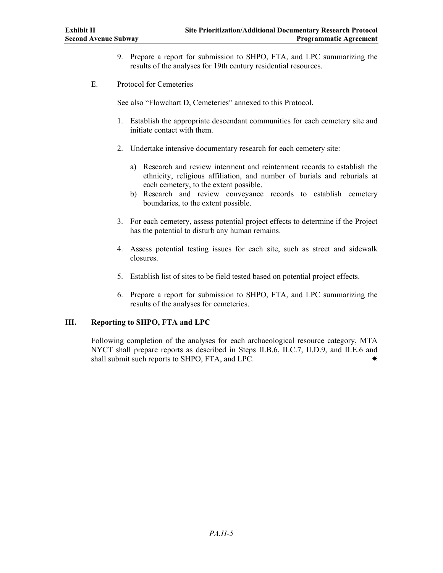- 9. Prepare a report for submission to SHPO, FTA, and LPC summarizing the results of the analyses for 19th century residential resources.
- E. Protocol for Cemeteries

See also "Flowchart D, Cemeteries" annexed to this Protocol.

- 1. Establish the appropriate descendant communities for each cemetery site and initiate contact with them.
- 2. Undertake intensive documentary research for each cemetery site:
	- a) Research and review interment and reinterment records to establish the ethnicity, religious affiliation, and number of burials and reburials at each cemetery, to the extent possible.
	- b) Research and review conveyance records to establish cemetery boundaries, to the extent possible.
- 3. For each cemetery, assess potential project effects to determine if the Project has the potential to disturb any human remains.
- 4. Assess potential testing issues for each site, such as street and sidewalk closures.
- 5. Establish list of sites to be field tested based on potential project effects.
- 6. Prepare a report for submission to SHPO, FTA, and LPC summarizing the results of the analyses for cemeteries.

### **III. Reporting to SHPO, FTA and LPC**

Following completion of the analyses for each archaeological resource category, MTA NYCT shall prepare reports as described in Steps II.B.6, II.C.7, II.D.9, and II.E.6 and shall submit such reports to SHPO, FTA, and LPC.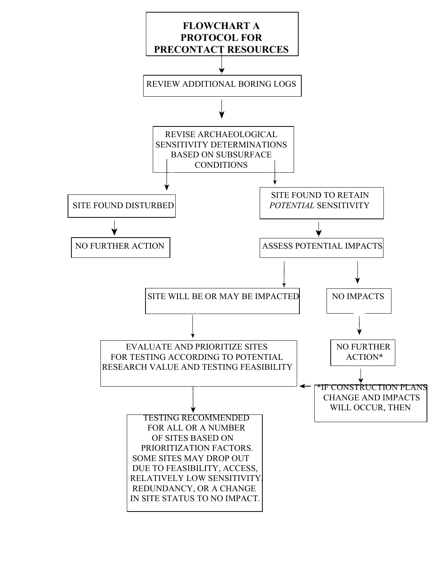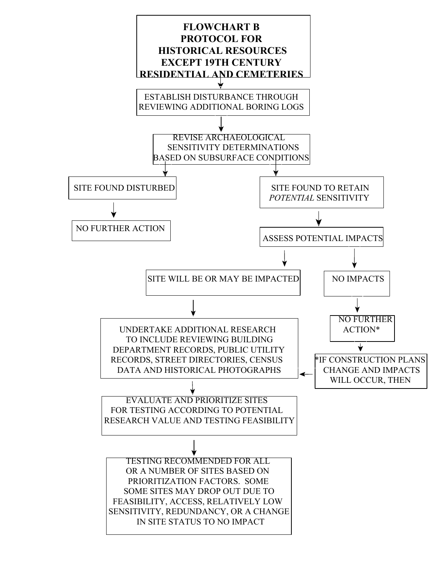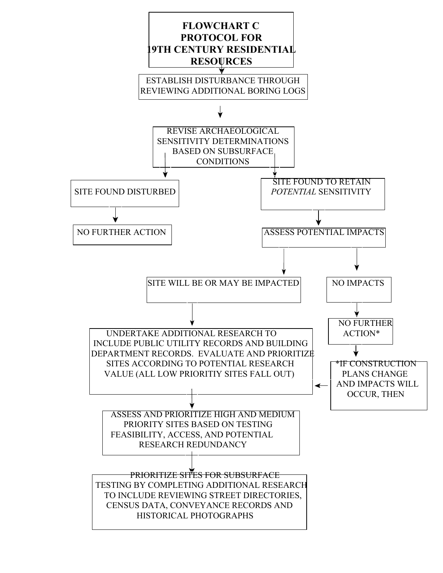